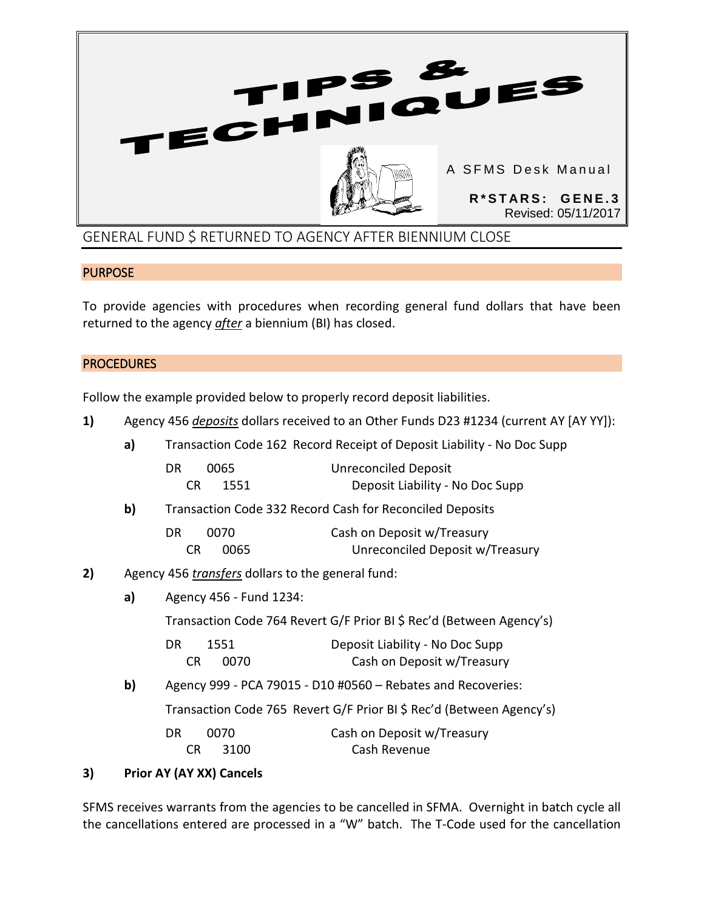

## **PURPOSE**

To provide agencies with procedures when recording general fund dollars that have been returned to the agency *after* a biennium (BI) has closed.

## **PROCEDURES**

Follow the example provided below to properly record deposit liabilities.

**1)** Agency 456 *deposits* dollars received to an Other Funds D23 #1234 (current AY [AY YY]):

|    | a) | Transaction Code 162 Record Receipt of Deposit Liability - No Doc Supp                                                                                      |                                                                      |
|----|----|-------------------------------------------------------------------------------------------------------------------------------------------------------------|----------------------------------------------------------------------|
|    |    | 0065<br>DR<br>CR.<br>1551                                                                                                                                   | <b>Unreconciled Deposit</b><br>Deposit Liability - No Doc Supp       |
|    | b) | Transaction Code 332 Record Cash for Reconciled Deposits                                                                                                    |                                                                      |
|    |    | 0070<br>DR<br>CR.<br>0065                                                                                                                                   | Cash on Deposit w/Treasury<br>Unreconciled Deposit w/Treasury        |
| 2) |    | Agency 456 <i>transfers</i> dollars to the general fund:<br>Agency 456 - Fund 1234:<br>Transaction Code 764 Revert G/F Prior BI \$ Rec'd (Between Agency's) |                                                                      |
|    | a) |                                                                                                                                                             |                                                                      |
|    |    |                                                                                                                                                             |                                                                      |
|    |    | DR.<br>1551<br>CR.<br>0070                                                                                                                                  | Deposit Liability - No Doc Supp<br>Cash on Deposit w/Treasury        |
|    | b) | Agency 999 - PCA 79015 - D10 #0560 - Rebates and Recoveries:                                                                                                |                                                                      |
|    |    |                                                                                                                                                             | Transaction Code 765 Revert G/F Prior BI \$ Rec'd (Between Agency's) |
|    |    |                                                                                                                                                             |                                                                      |

## DR 0070 Cash on Deposit w/Treasury CR 3100 Cash Revenue

## **3) Prior AY (AY XX) Cancels**

SFMS receives warrants from the agencies to be cancelled in SFMA. Overnight in batch cycle all the cancellations entered are processed in a "W" batch. The T-Code used for the cancellation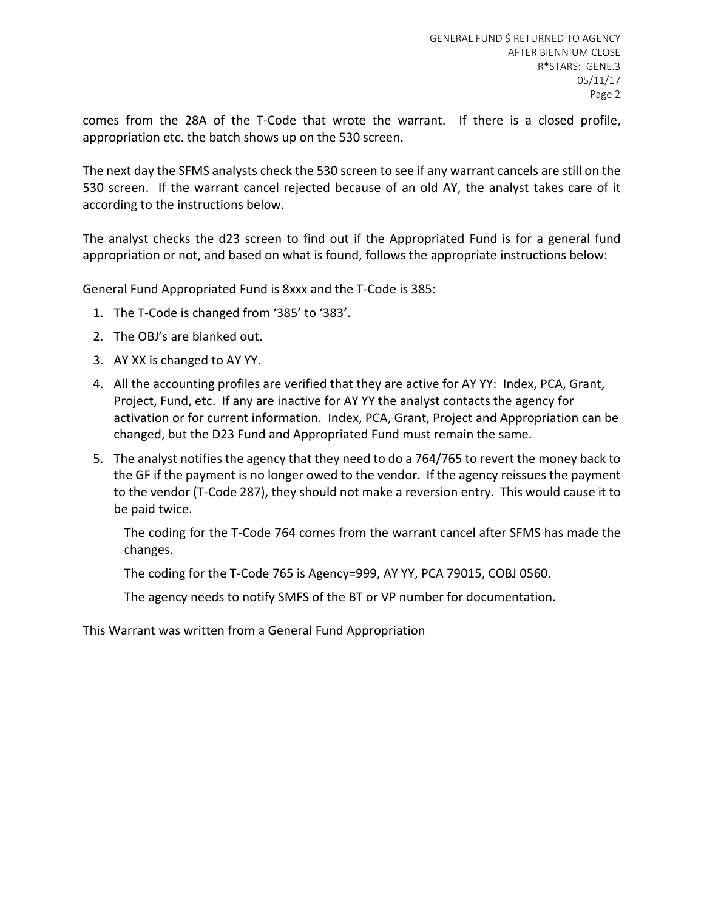comes from the 28A of the T-Code that wrote the warrant. If there is a closed profile, appropriation etc. the batch shows up on the 530 screen.

The next day the SFMS analysts check the 530 screen to see if any warrant cancels are still on the 530 screen. If the warrant cancel rejected because of an old AY, the analyst takes care of it according to the instructions below.

The analyst checks the d23 screen to find out if the Appropriated Fund is for a general fund appropriation or not, and based on what is found, follows the appropriate instructions below:

General Fund Appropriated Fund is 8xxx and the T-Code is 385:

- 1. The T-Code is changed from '385' to '383'.
- 2. The OBJ's are blanked out.
- 3. AY XX is changed to AY YY.
- 4. All the accounting profiles are verified that they are active for AY YY: Index, PCA, Grant, Project, Fund, etc. If any are inactive for AY YY the analyst contacts the agency for activation or for current information. Index, PCA, Grant, Project and Appropriation can be changed, but the D23 Fund and Appropriated Fund must remain the same.
- 5. The analyst notifies the agency that they need to do a 764/765 to revert the money back to the GF if the payment is no longer owed to the vendor. If the agency reissues the payment to the vendor (T-Code 287), they should not make a reversion entry. This would cause it to be paid twice.

The coding for the T-Code 764 comes from the warrant cancel after SFMS has made the changes.

The coding for the T-Code 765 is Agency=999, AY YY, PCA 79015, COBJ 0560.

The agency needs to notify SMFS of the BT or VP number for documentation.

This Warrant was written from a General Fund Appropriation